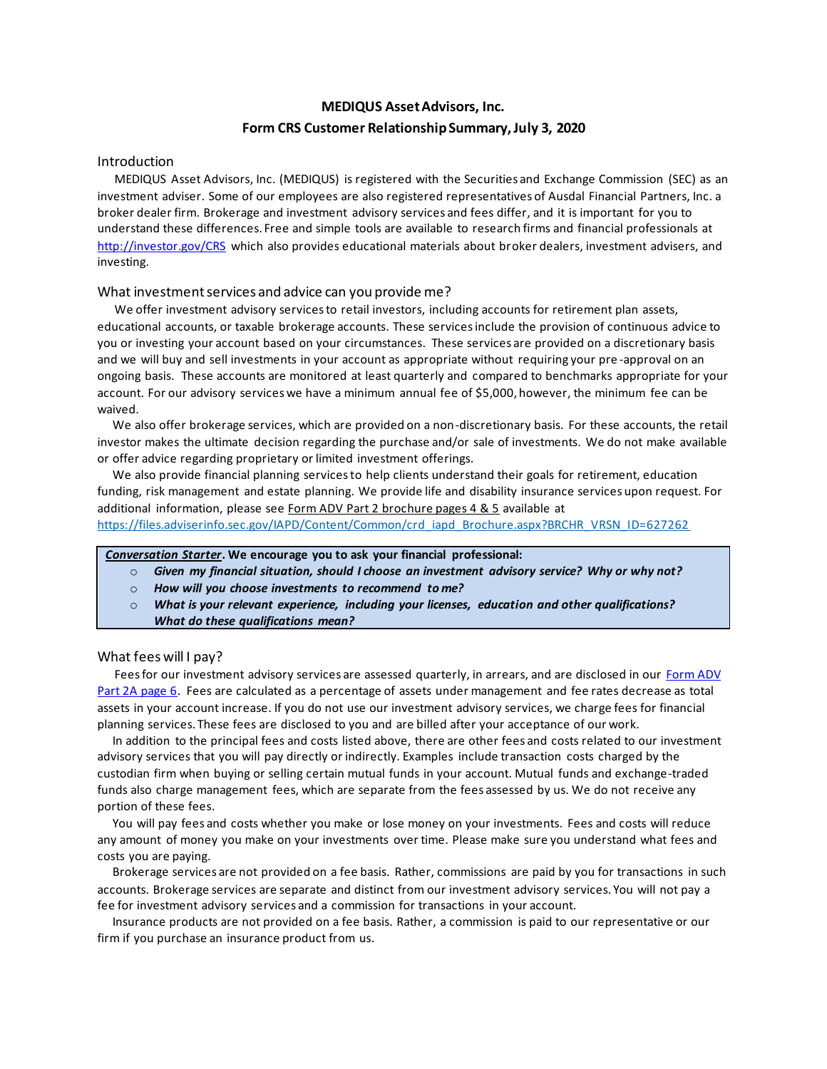# **MEDIQUS Asset Advisors, Inc. Form CRS Customer Relationship Summary, July 3, 2020**

## Introduction

 MEDIQUS Asset Advisors, Inc. (MEDIQUS) is registered with the Securities and Exchange Commission (SEC) as an investment adviser. Some of our employees are also registered representatives of Ausdal Financial Partners, Inc. a broker dealer firm. Brokerage and investment advisory services and fees differ, and it is important for you to understand these differences. Free and simple tools are available to research firms and financial professionals at <http://investor.gov/CRS> which also provides educational materials about broker dealers, investment advisers, and investing.

### What investment services and advice can you provide me?

 We offer investment advisory services to retail investors, including accounts for retirement plan assets, educational accounts, or taxable brokerage accounts. These services include the provision of continuous advice to you or investing your account based on your circumstances. These services are provided on a discretionary basis and we will buy and sell investments in your account as appropriate without requiring your pre -approval on an ongoing basis. These accounts are monitored at least quarterly and compared to benchmarks appropriate for your account. For our advisory services we have a minimum annual fee of \$5,000, however, the minimum fee can be waived.

We also offer brokerage services, which are provided on a non-discretionary basis. For these accounts, the retail investor makes the ultimate decision regarding the purchase and/or sale of investments. We do not make available or offer advice regarding proprietary or limited investment offerings.

 We also provide financial planning services to help clients understand their goals for retirement, education funding, risk management and estate planning. We provide life and disability insurance services upon request. For additional information, please see Form ADV Part 2 brochure pages 4 & 5 available at [https://files.adviserinfo.sec.gov/IAPD/Content/Common/crd\\_iapd\\_Brochure.aspx?BRCHR\\_VRSN\\_ID=627262](https://files.adviserinfo.sec.gov/IAPD/Content/Common/crd_iapd_Brochure.aspx?BRCHR_VRSN_ID=627262)

## *Conversation Starter***. We encourage you to ask your financial professional:**

- o *Given my financial situation, should I choose an investment advisory service? Why or why not?*
- o *How will you choose investments to recommend to me?*
- What is your relevant experience, including your licenses, education and other qualifications? *What do these qualifications mean?*

#### What fees will I pay?

Fees for our investment advisory services are assessed quarterly, in arrears, and are disclosed in our Form ADV [Part 2A page 6.](https://files.adviserinfo.sec.gov/IAPD/Content/Common/crd_iapd_Brochure.aspx?BRCHR_VRSN_ID=627262) Fees are calculated as a percentage of assets under management and fee rates decrease as total assets in your account increase. If you do not use our investment advisory services, we charge fees for financial planning services. These fees are disclosed to you and are billed after your acceptance of our work.

 In addition to the principal fees and costs listed above, there are other fees and costs related to our investment advisory services that you will pay directly or indirectly. Examples include transaction costs charged by the custodian firm when buying or selling certain mutual funds in your account. Mutual funds and exchange-traded funds also charge management fees, which are separate from the fees assessed by us. We do not receive any portion of these fees.

 You will pay fees and costs whether you make or lose money on your investments. Fees and costs will reduce any amount of money you make on your investments over time. Please make sure you understand what fees and costs you are paying.

 Brokerage services are not provided on a fee basis. Rather, commissions are paid by you for transactions in such accounts. Brokerage services are separate and distinct from our investment advisory services. You will not pay a fee for investment advisory services and a commission for transactions in your account.

 Insurance products are not provided on a fee basis. Rather, a commission is paid to our representative or our firm if you purchase an insurance product from us.